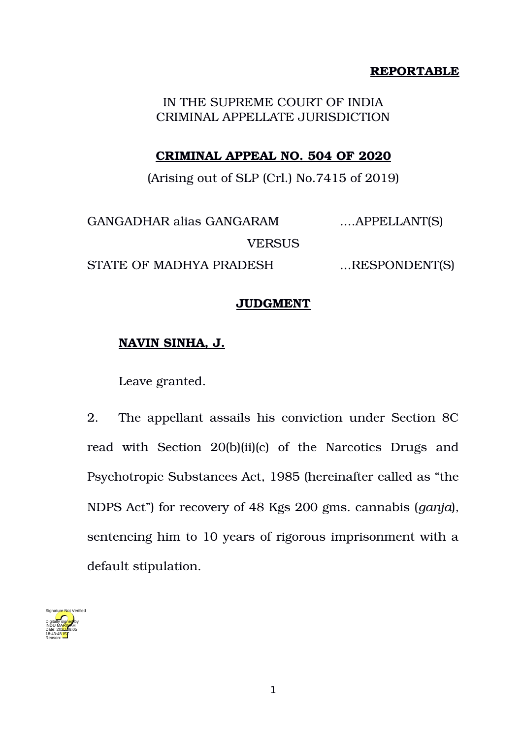## **REPORTABLE**

IN THE SUPREME COURT OF INDIA CRIMINAL APPELLATE JURISDICTION

### **CRIMINAL APPEAL NO. 504 OF 2020**

(Arising out of SLP (Crl.) No.7415 of 2019)

GANGADHAR alias GANGARAM ....APPELLANT(S) VERSUS STATE OF MADHYA PRADESH ...RESPONDENT(S)

#### **JUDGMENT**

# **NAVIN SINHA, J.**

Leave granted.

2. The appellant assails his conviction under Section 8C read with Section 20(b)(ii)(c) of the Narcotics Drugs and Psychotropic Substances Act, 1985 (hereinafter called as "the NDPS Act") for recovery of 48 Kgs 200 gms. cannabis (*ganja*), sentencing him to 10 years of rigorous imprisonment with a default stipulation.

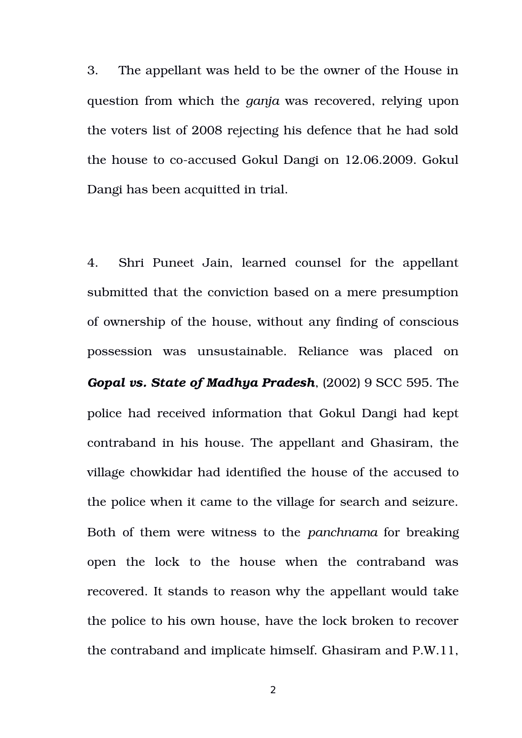3. The appellant was held to be the owner of the House in question from which the *ganja* was recovered, relying upon the voters list of 2008 rejecting his defence that he had sold the house to co-accused Gokul Dangi on 12.06.2009. Gokul Dangi has been acquitted in trial.

4. Shri Puneet Jain, learned counsel for the appellant submitted that the conviction based on a mere presumption of ownership of the house, without any finding of conscious possession was unsustainable. Reliance was placed on *Gopal vs. State of Madhya Pradesh*, (2002) 9 SCC 595. The police had received information that Gokul Dangi had kept contraband in his house. The appellant and Ghasiram, the village chowkidar had identified the house of the accused to the police when it came to the village for search and seizure. Both of them were witness to the *panchnama* for breaking open the lock to the house when the contraband was recovered. It stands to reason why the appellant would take the police to his own house, have the lock broken to recover the contraband and implicate himself. Ghasiram and P.W.11,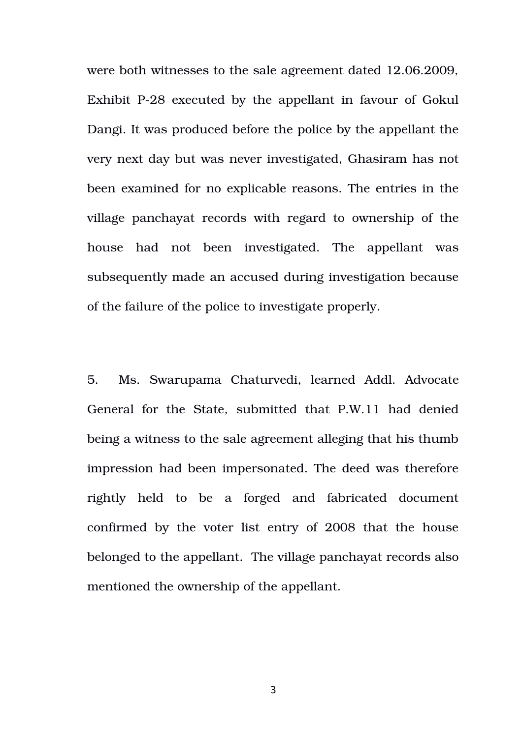were both witnesses to the sale agreement dated 12.06.2009, Exhibit P28 executed by the appellant in favour of Gokul Dangi. It was produced before the police by the appellant the very next day but was never investigated, Ghasiram has not been examined for no explicable reasons. The entries in the village panchayat records with regard to ownership of the house had not been investigated. The appellant was subsequently made an accused during investigation because of the failure of the police to investigate properly.

5. Ms. Swarupama Chaturvedi, learned Addl. Advocate General for the State, submitted that P.W.11 had denied being a witness to the sale agreement alleging that his thumb impression had been impersonated. The deed was therefore rightly held to be a forged and fabricated document confirmed by the voter list entry of 2008 that the house belonged to the appellant. The village panchayat records also mentioned the ownership of the appellant.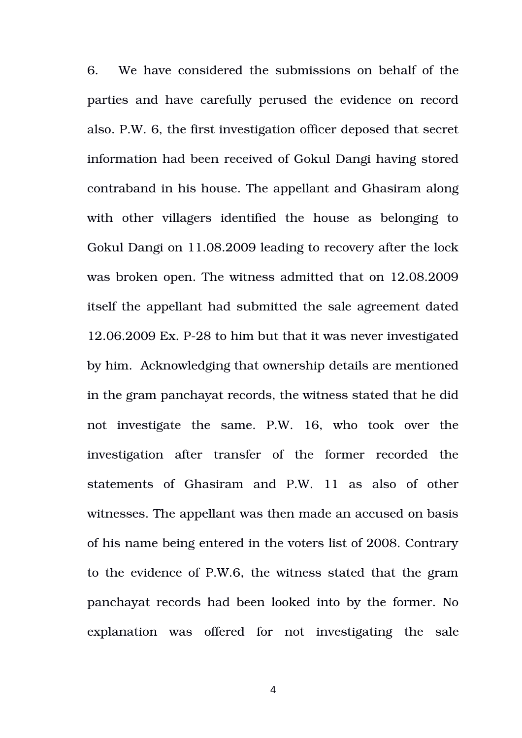6. We have considered the submissions on behalf of the parties and have carefully perused the evidence on record also. P.W. 6, the first investigation officer deposed that secret information had been received of Gokul Dangi having stored contraband in his house. The appellant and Ghasiram along with other villagers identified the house as belonging to Gokul Dangi on 11.08.2009 leading to recovery after the lock was broken open. The witness admitted that on 12.08.2009 itself the appellant had submitted the sale agreement dated 12.06.2009 Ex. P28 to him but that it was never investigated by him. Acknowledging that ownership details are mentioned in the gram panchayat records, the witness stated that he did not investigate the same. P.W. 16, who took over the investigation after transfer of the former recorded the statements of Ghasiram and P.W. 11 as also of other witnesses. The appellant was then made an accused on basis of his name being entered in the voters list of 2008. Contrary to the evidence of P.W.6, the witness stated that the gram panchayat records had been looked into by the former. No explanation was offered for not investigating the sale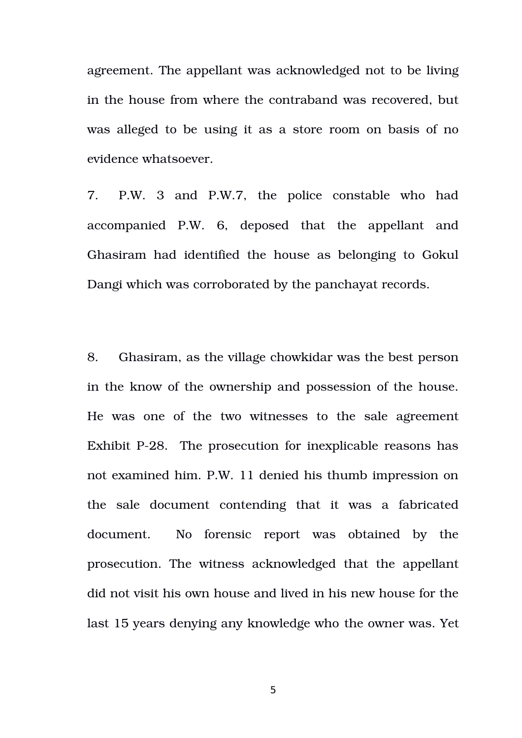agreement. The appellant was acknowledged not to be living in the house from where the contraband was recovered, but was alleged to be using it as a store room on basis of no evidence whatsoever.

7. P.W. 3 and P.W.7, the police constable who had accompanied P.W. 6, deposed that the appellant and Ghasiram had identified the house as belonging to Gokul Dangi which was corroborated by the panchayat records.

8. Ghasiram, as the village chowkidar was the best person in the know of the ownership and possession of the house. He was one of the two witnesses to the sale agreement Exhibit P-28. The prosecution for inexplicable reasons has not examined him. P.W. 11 denied his thumb impression on the sale document contending that it was a fabricated document. No forensic report was obtained by the prosecution. The witness acknowledged that the appellant did not visit his own house and lived in his new house for the last 15 years denying any knowledge who the owner was. Yet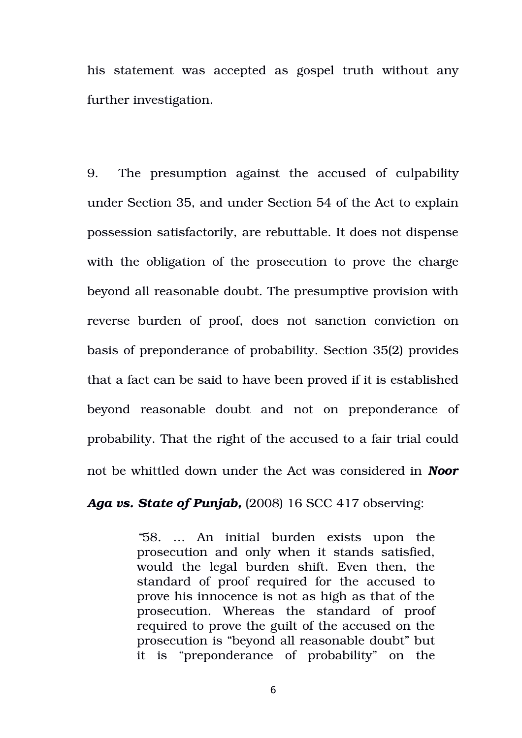his statement was accepted as gospel truth without any further investigation.

9. The presumption against the accused of culpability under Section 35, and under Section 54 of the Act to explain possession satisfactorily, are rebuttable. It does not dispense with the obligation of the prosecution to prove the charge beyond all reasonable doubt. The presumptive provision with reverse burden of proof, does not sanction conviction on basis of preponderance of probability. Section 35(2) provides that a fact can be said to have been proved if it is established beyond reasonable doubt and not on preponderance of probability. That the right of the accused to a fair trial could not be whittled down under the Act was considered in *Noor*

#### *Aga vs. State of Punjab,* (2008) 16 SCC 417 observing:

*"*58*.* … An initial burden exists upon the prosecution and only when it stands satisfied, would the legal burden shift. Even then, the standard of proof required for the accused to prove his innocence is not as high as that of the prosecution. Whereas the standard of proof required to prove the guilt of the accused on the prosecution is "beyond all reasonable doubt" but it is "preponderance of probability" on the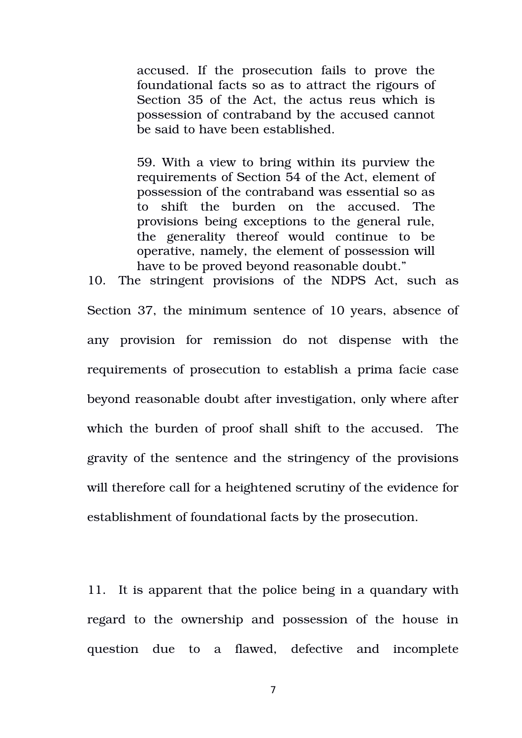accused. If the prosecution fails to prove the foundational facts so as to attract the rigours of Section 35 of the Act, the actus reus which is possession of contraband by the accused cannot be said to have been established.

59. With a view to bring within its purview the requirements of Section 54 of the Act, element of possession of the contraband was essential so as to shift the burden on the accused. The provisions being exceptions to the general rule, the generality thereof would continue to be operative, namely, the element of possession will have to be proved beyond reasonable doubt."

10. The stringent provisions of the NDPS Act, such as Section 37, the minimum sentence of 10 years, absence of any provision for remission do not dispense with the requirements of prosecution to establish a prima facie case beyond reasonable doubt after investigation, only where after which the burden of proof shall shift to the accused. The gravity of the sentence and the stringency of the provisions will therefore call for a heightened scrutiny of the evidence for establishment of foundational facts by the prosecution.

11. It is apparent that the police being in a quandary with regard to the ownership and possession of the house in question due to a flawed, defective and incomplete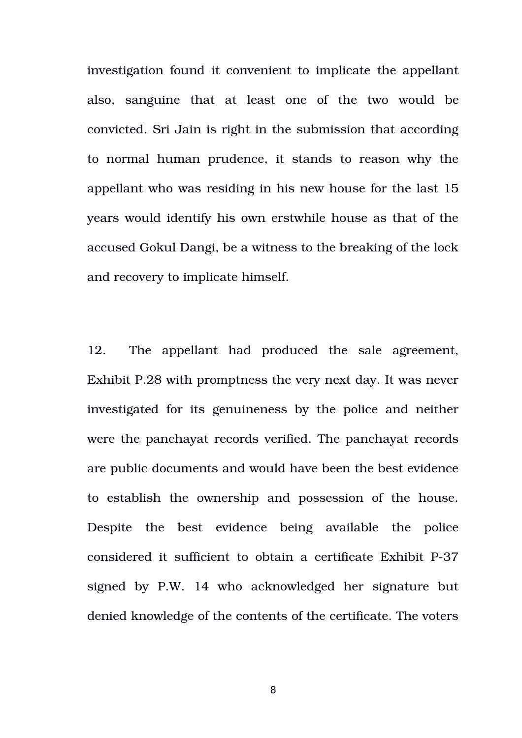investigation found it convenient to implicate the appellant also, sanguine that at least one of the two would be convicted. Sri Jain is right in the submission that according to normal human prudence, it stands to reason why the appellant who was residing in his new house for the last 15 years would identify his own erstwhile house as that of the accused Gokul Dangi, be a witness to the breaking of the lock and recovery to implicate himself.

12. The appellant had produced the sale agreement, Exhibit P.28 with promptness the very next day. It was never investigated for its genuineness by the police and neither were the panchayat records verified. The panchayat records are public documents and would have been the best evidence to establish the ownership and possession of the house. Despite the best evidence being available the police considered it sufficient to obtain a certificate Exhibit P-37 signed by P.W. 14 who acknowledged her signature but denied knowledge of the contents of the certificate. The voters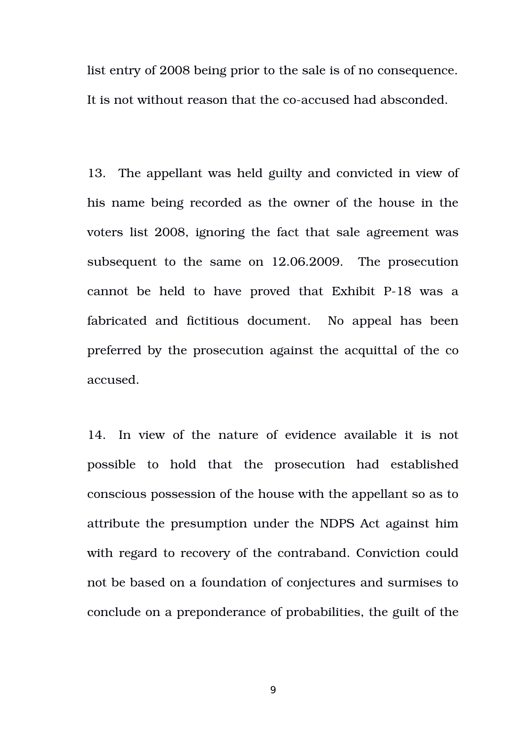list entry of 2008 being prior to the sale is of no consequence. It is not without reason that the co-accused had absconded.

13. The appellant was held guilty and convicted in view of his name being recorded as the owner of the house in the voters list 2008, ignoring the fact that sale agreement was subsequent to the same on 12.06.2009. The prosecution cannot be held to have proved that Exhibit P-18 was a fabricated and fictitious document. No appeal has been preferred by the prosecution against the acquittal of the co accused.

14. In view of the nature of evidence available it is not possible to hold that the prosecution had established conscious possession of the house with the appellant so as to attribute the presumption under the NDPS Act against him with regard to recovery of the contraband. Conviction could not be based on a foundation of conjectures and surmises to conclude on a preponderance of probabilities, the guilt of the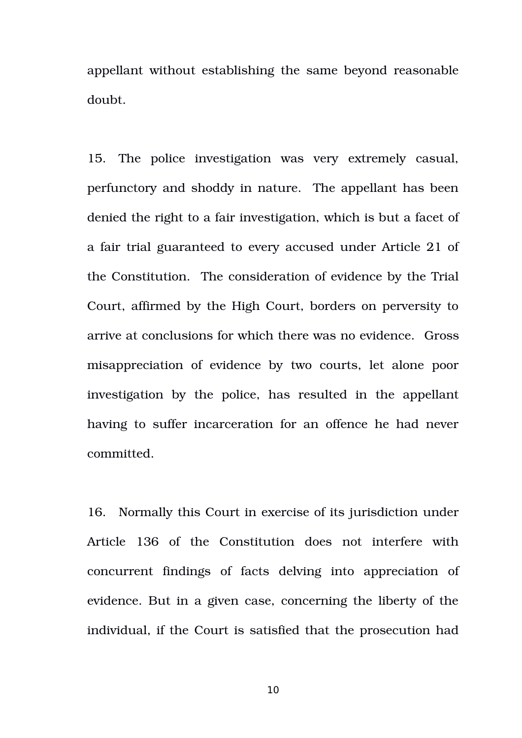appellant without establishing the same beyond reasonable doubt.

15. The police investigation was very extremely casual, perfunctory and shoddy in nature. The appellant has been denied the right to a fair investigation, which is but a facet of a fair trial guaranteed to every accused under Article 21 of the Constitution. The consideration of evidence by the Trial Court, affirmed by the High Court, borders on perversity to arrive at conclusions for which there was no evidence. Gross misappreciation of evidence by two courts, let alone poor investigation by the police, has resulted in the appellant having to suffer incarceration for an offence he had never committed.

16. Normally this Court in exercise of its jurisdiction under Article 136 of the Constitution does not interfere with concurrent findings of facts delving into appreciation of evidence. But in a given case, concerning the liberty of the individual, if the Court is satisfied that the prosecution had